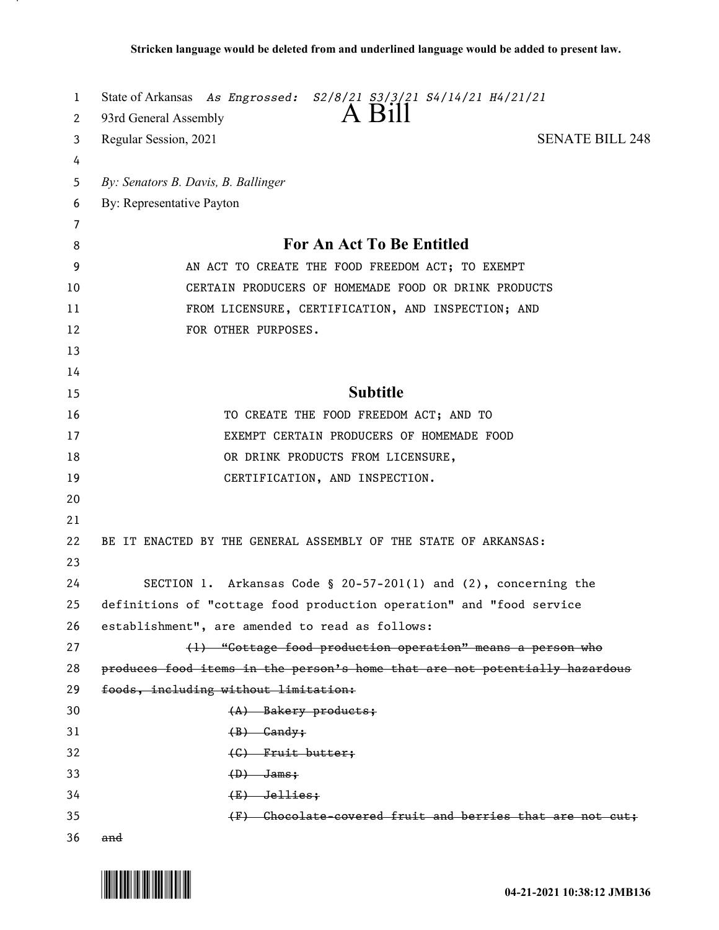| 1  | State of Arkansas As Engrossed: S2/8/21 S3/3/21 S4/14/21 H4/21/21           |
|----|-----------------------------------------------------------------------------|
| 2  | $A$ Bill<br>93rd General Assembly                                           |
| 3  | <b>SENATE BILL 248</b><br>Regular Session, 2021                             |
| 4  |                                                                             |
| 5  | By: Senators B. Davis, B. Ballinger                                         |
| 6  | By: Representative Payton                                                   |
| 7  |                                                                             |
| 8  | <b>For An Act To Be Entitled</b>                                            |
| 9  | AN ACT TO CREATE THE FOOD FREEDOM ACT; TO EXEMPT                            |
| 10 | CERTAIN PRODUCERS OF HOMEMADE FOOD OR DRINK PRODUCTS                        |
| 11 | FROM LICENSURE, CERTIFICATION, AND INSPECTION; AND                          |
| 12 | FOR OTHER PURPOSES.                                                         |
| 13 |                                                                             |
| 14 |                                                                             |
| 15 | <b>Subtitle</b>                                                             |
| 16 | TO CREATE THE FOOD FREEDOM ACT; AND TO                                      |
| 17 | EXEMPT CERTAIN PRODUCERS OF HOMEMADE FOOD                                   |
| 18 | OR DRINK PRODUCTS FROM LICENSURE,                                           |
| 19 | CERTIFICATION, AND INSPECTION.                                              |
| 20 |                                                                             |
| 21 |                                                                             |
| 22 | BE IT ENACTED BY THE GENERAL ASSEMBLY OF THE STATE OF ARKANSAS:             |
| 23 |                                                                             |
| 24 | SECTION 1. Arkansas Code § 20-57-201(1) and $(2)$ , concerning the          |
| 25 | definitions of "cottage food production operation" and "food service        |
| 26 | establishment", are amended to read as follows:                             |
| 27 | (1) "Cottage food production operation" means a person who                  |
| 28 | produces food items in the person's home that are not potentially hazardous |
| 29 | foods, including without limitation:                                        |
| 30 | $(A)$ Bakery products;                                                      |
| 31 | $(B)$ Candy;                                                                |
| 32 | (C) Fruit butter;                                                           |
| 33 | $(D)$ Jams;                                                                 |
| 34 | $(E)$ Jellies;                                                              |
| 35 | (F) Chocolate-covered fruit and berries that are not cut;                   |
| 36 | and                                                                         |

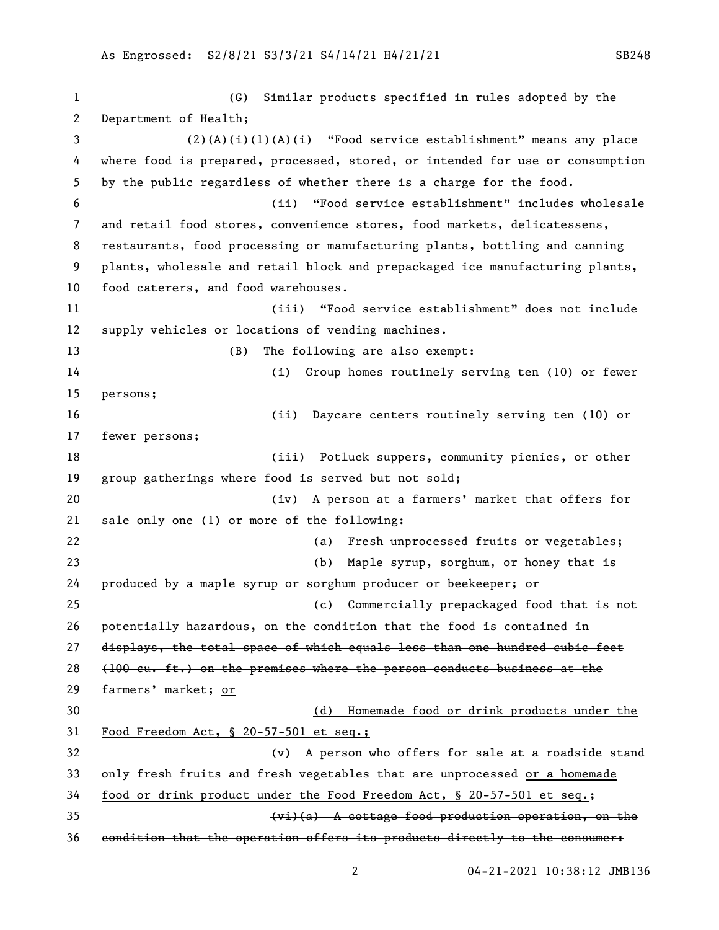(G) Similar products specified in rules adopted by the 2 Department of Health; 3 (2)(A)(i)(A)(i) "Food service establishment" means any place where food is prepared, processed, stored, or intended for use or consumption by the public regardless of whether there is a charge for the food. (ii) "Food service establishment" includes wholesale and retail food stores, convenience stores, food markets, delicatessens, restaurants, food processing or manufacturing plants, bottling and canning plants, wholesale and retail block and prepackaged ice manufacturing plants, food caterers, and food warehouses. (iii) "Food service establishment" does not include supply vehicles or locations of vending machines. (B) The following are also exempt: (i) Group homes routinely serving ten (10) or fewer persons; (ii) Daycare centers routinely serving ten (10) or fewer persons; (iii) Potluck suppers, community picnics, or other group gatherings where food is served but not sold; (iv) A person at a farmers' market that offers for sale only one (1) or more of the following: (a) Fresh unprocessed fruits or vegetables; (b) Maple syrup, sorghum, or honey that is 24 produced by a maple syrup or sorghum producer or beekeeper;  $\Theta$  (c) Commercially prepackaged food that is not 26 potentially hazardous, on the condition that the food is contained in displays, the total space of which equals less than one hundred cubic feet (100 cu. ft.) on the premises where the person conducts business at the 29 farmers' market; or (d) Homemade food or drink products under the Food Freedom Act, § 20-57-501 et seq.; (v) A person who offers for sale at a roadside stand only fresh fruits and fresh vegetables that are unprocessed or a homemade food or drink product under the Food Freedom Act, § 20-57-501 et seq.; (vi)(a) A cottage food production operation, on the condition that the operation offers its products directly to the consumer: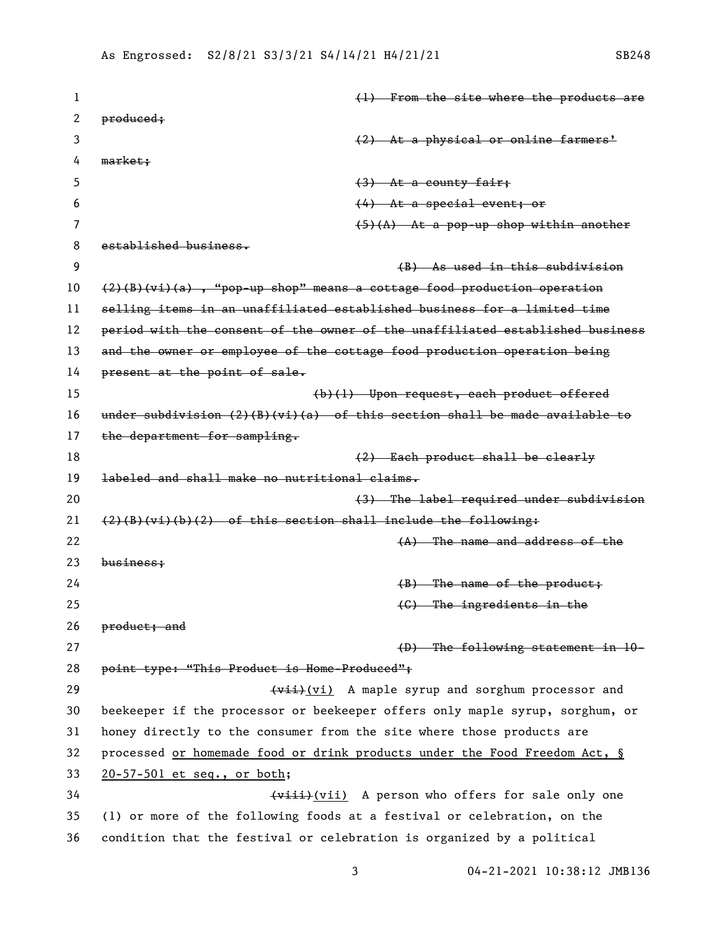| 1  | (1) From the site where the products are                                      |
|----|-------------------------------------------------------------------------------|
| 2  | produced;                                                                     |
| 3  | (2) At a physical or online farmers'                                          |
| 4  | market;                                                                       |
| 5  | $(3)$ At a county fair;                                                       |
| 6  | $(4)$ At a special event; or                                                  |
| 7  | $(5)(A)$ At a pop-up shop within another                                      |
| 8  | established business.                                                         |
| 9  | (B) As used in this subdivision                                               |
| 10 | $(2)(B)(vi)(a)$ , "pop-up shop" means a cottage food production operation     |
| 11 | selling items in an unaffiliated established business for a limited time      |
| 12 | period with the consent of the owner of the unaffiliated established business |
| 13 | and the owner or employee of the cottage food production operation being      |
| 14 | present at the point of sale.                                                 |
| 15 | (b)(l) Upon request, each product offered                                     |
| 16 | under subdivision $(2)(B)(vi)(a)$ of this section shall be made available to  |
| 17 | the department for sampling.                                                  |
| 18 | (2) Each product shall be clearly                                             |
| 19 | labeled and shall make no nutritional claims.                                 |
| 20 | (3) The label required under subdivision                                      |
| 21 | $(2)(B)(vi)(b)(2)$ of this section shall include the following:               |
| 22 | $(A)$ The name and address of the                                             |
| 23 | business;                                                                     |
| 24 | $(B)$ The name of the product;                                                |
| 25 | $(G)$ The ingredients in the                                                  |
| 26 | product; and                                                                  |
| 27 | (D) The following statement in 10-                                            |
| 28 | point type: "This Product is Home-Produced";                                  |
| 29 | (vii) A maple syrup and sorghum processor and                                 |
| 30 | beekeeper if the processor or beekeeper offers only maple syrup, sorghum, or  |
| 31 | honey directly to the consumer from the site where those products are         |
| 32 | processed or homemade food or drink products under the Food Freedom Act, §    |
| 33 | 20-57-501 et seq., or both;                                                   |
| 34 | (viii) A person who offers for sale only one                                  |
| 35 | (1) or more of the following foods at a festival or celebration, on the       |
| 36 | condition that the festival or celebration is organized by a political        |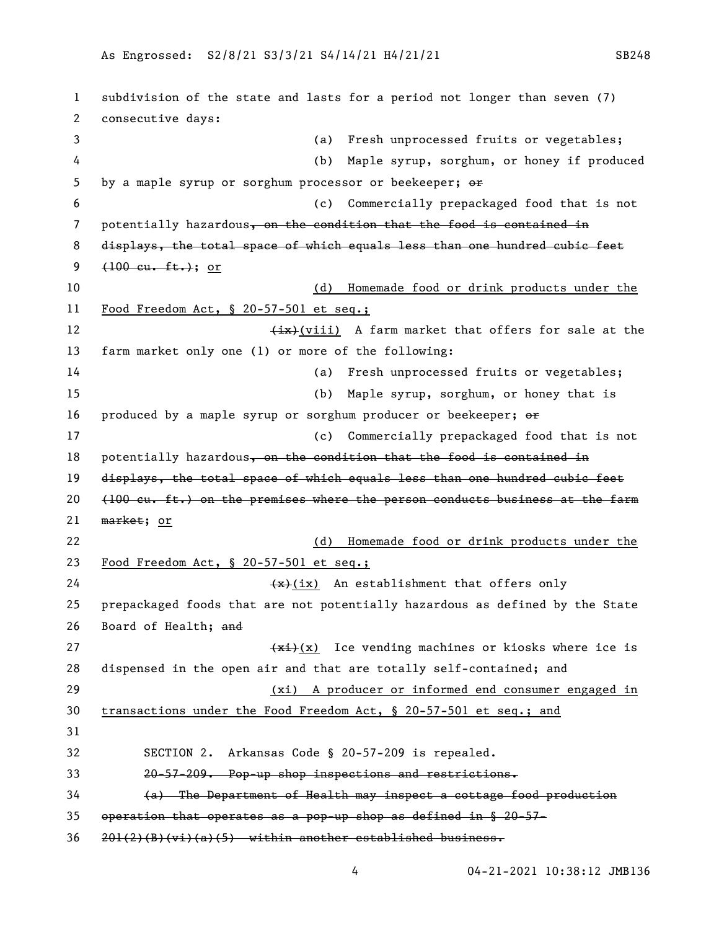subdivision of the state and lasts for a period not longer than seven (7) consecutive days: (a) Fresh unprocessed fruits or vegetables; (b) Maple syrup, sorghum, or honey if produced 5 by a maple syrup or sorghum processor or beekeeper;  $\Theta$  (c) Commercially prepackaged food that is not 7 potentially hazardous, on the condition that the food is contained in 8 displays, the total space of which equals less than one hundred cubic feet  $(100 \text{ cu. ft.})$ ; or (d) Homemade food or drink products under the Food Freedom Act, § 20-57-501 et seq.; 12 (ix)(viii) A farm market that offers for sale at the farm market only one (1) or more of the following: (a) Fresh unprocessed fruits or vegetables; (b) Maple syrup, sorghum, or honey that is 16 produced by a maple syrup or sorghum producer or beekeeper;  $\Theta$  (c) Commercially prepackaged food that is not 18 potentially hazardous, on the condition that the food is contained in displays, the total space of which equals less than one hundred cubic feet  $(100 \text{ eu. ft.})$  on the premises where the person conducts business at the farm market; or (d) Homemade food or drink products under the Food Freedom Act, § 20-57-501 et seq.;  $\left(\frac{1}{x}\right)(ix)$  An establishment that offers only prepackaged foods that are not potentially hazardous as defined by the State Board of Health; and  $\frac{f(x+1)}{x}$  Ice vending machines or kiosks where ice is dispensed in the open air and that are totally self-contained; and (xi) A producer or informed end consumer engaged in transactions under the Food Freedom Act, § 20-57-501 et seq.; and SECTION 2. Arkansas Code § 20-57-209 is repealed. 20-57-209. Pop-up shop inspections and restrictions. (a) The Department of Health may inspect a cottage food production operation that operates as a pop-up shop as defined in § 20-57- 201(2)(B)(vi)(a)(5) within another established business.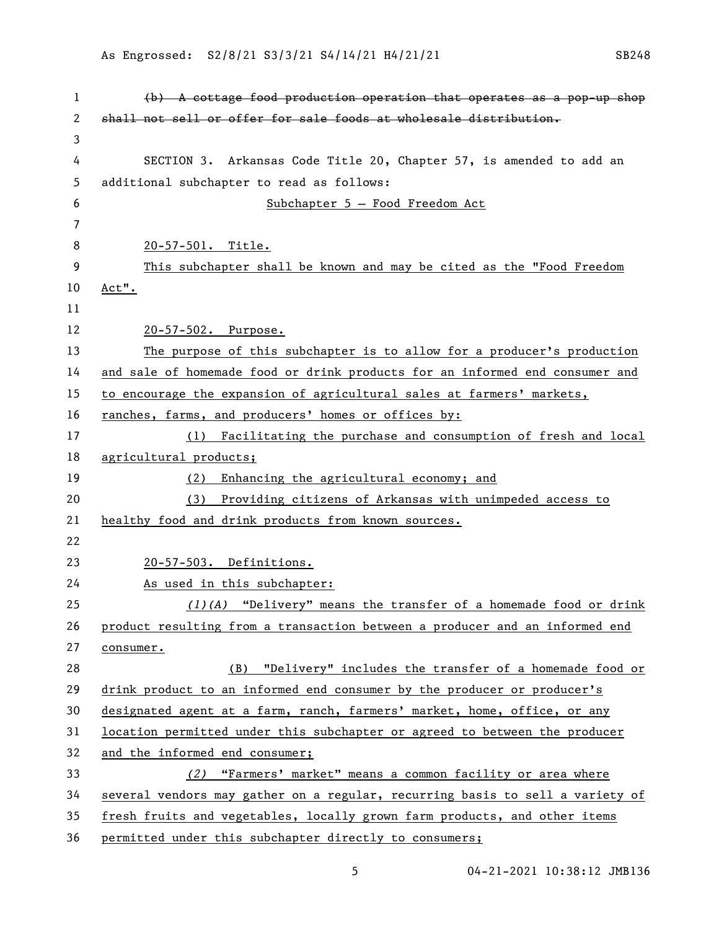| 1  | $(b)$ A cottage food production operation that operates as a pop-up shop      |
|----|-------------------------------------------------------------------------------|
| 2  | shall not sell or offer for sale foods at wholesale distribution.             |
| 3  |                                                                               |
| 4  | SECTION 3. Arkansas Code Title 20, Chapter 57, is amended to add an           |
| 5  | additional subchapter to read as follows:                                     |
| 6  | Subchapter 5 - Food Freedom Act                                               |
| 7  |                                                                               |
| 8  | 20-57-501. Title.                                                             |
| 9  | This subchapter shall be known and may be cited as the "Food Freedom          |
| 10 | Act".                                                                         |
| 11 |                                                                               |
| 12 | 20-57-502. Purpose.                                                           |
| 13 | The purpose of this subchapter is to allow for a producer's production        |
| 14 | and sale of homemade food or drink products for an informed end consumer and  |
| 15 | to encourage the expansion of agricultural sales at farmers' markets,         |
| 16 | ranches, farms, and producers' homes or offices by:                           |
| 17 | (1) Facilitating the purchase and consumption of fresh and local              |
| 18 | agricultural products;                                                        |
| 19 | Enhancing the agricultural economy; and<br>(2)                                |
| 20 | Providing citizens of Arkansas with unimpeded access to<br>(3)                |
| 21 | healthy food and drink products from known sources.                           |
| 22 |                                                                               |
| 23 | 20-57-503. Definitions.                                                       |
| 24 | As used in this subchapter:                                                   |
| 25 | $(1)(A)$ "Delivery" means the transfer of a homemade food or drink            |
| 26 | product resulting from a transaction between a producer and an informed end   |
| 27 | consumer.                                                                     |
| 28 | (B) "Delivery" includes the transfer of a homemade food or                    |
| 29 | drink product to an informed end consumer by the producer or producer's       |
| 30 | designated agent at a farm, ranch, farmers' market, home, office, or any      |
| 31 | location permitted under this subchapter or agreed to between the producer    |
| 32 | and the informed end consumer;                                                |
| 33 | (2) "Farmers' market" means a common facility or area where                   |
| 34 | several vendors may gather on a regular, recurring basis to sell a variety of |
| 35 | fresh fruits and vegetables, locally grown farm products, and other items     |
| 36 | permitted under this subchapter directly to consumers;                        |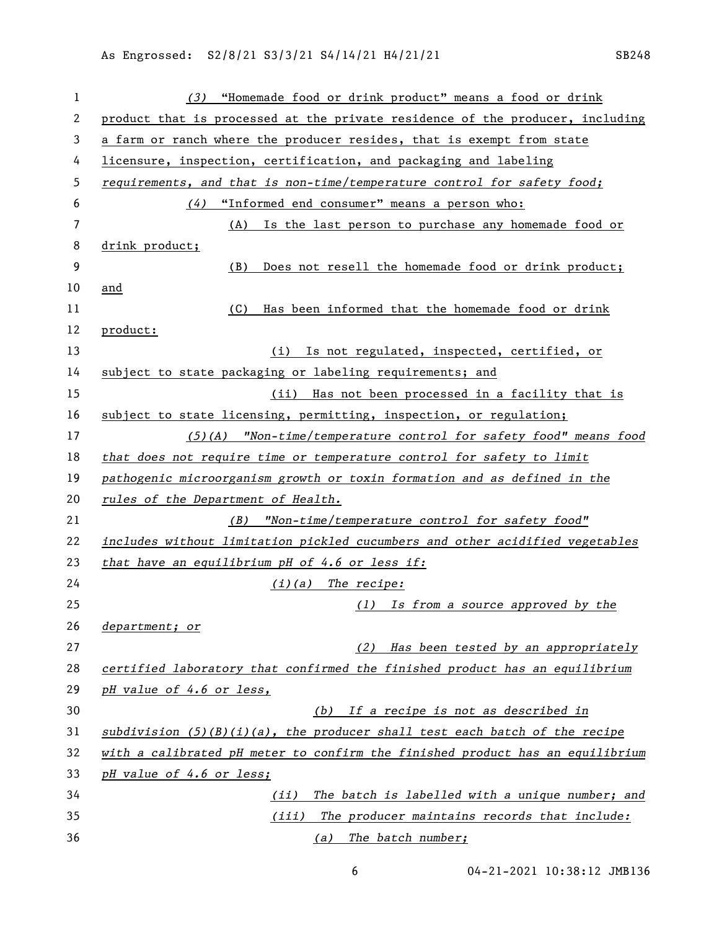| $\mathbf{1}$ | "Homemade food or drink product" means a food or drink<br>(3)                 |
|--------------|-------------------------------------------------------------------------------|
| 2            | product that is processed at the private residence of the producer, including |
| 3            | a farm or ranch where the producer resides, that is exempt from state         |
| 4            | licensure, inspection, certification, and packaging and labeling              |
| 5            | requirements, and that is non-time/temperature control for safety food;       |
| 6            | (4) "Informed end consumer" means a person who:                               |
| 7            | (A) Is the last person to purchase any homemade food or                       |
| 8            | drink product;                                                                |
| 9            | Does not resell the homemade food or drink product;<br>(B)                    |
| 10           | and                                                                           |
| 11           | Has been informed that the homemade food or drink<br>(C)                      |
| 12           | product:                                                                      |
| 13           | (i) Is not regulated, inspected, certified, or                                |
| 14           | subject to state packaging or labeling requirements; and                      |
| 15           | (ii) Has not been processed in a facility that is                             |
| 16           | subject to state licensing, permitting, inspection, or regulation;            |
| 17           | $(5)$ (A) "Non-time/temperature control for safety food" means food           |
| 18           | that does not require time or temperature control for safety to limit         |
| 19           | pathogenic microorganism growth or toxin formation and as defined in the      |
| 20           | rules of the Department of Health.                                            |
| 21           | (B) "Non-time/temperature control for safety food"                            |
| 22           | includes without limitation pickled cucumbers and other acidified vegetables  |
| 23           | that have an equilibrium pH of 4.6 or less if:                                |
| 24           | $(i)(a)$ The recipe:                                                          |
| 25           | (1) Is from a source approved by the                                          |
| 26           | department; or                                                                |
| 27           | (2) Has been tested by an appropriately                                       |
| 28           | certified laboratory that confirmed the finished product has an equilibrium   |
| 29           | pH value of 4.6 or less,                                                      |
| 30           | (b) If a recipe is not as described in                                        |
| 31           | subdivision $(5)(B)(i)(a)$ , the producer shall test each batch of the recipe |
| 32           | with a calibrated pH meter to confirm the finished product has an equilibrium |
| 33           | pH value of 4.6 or less;                                                      |
| 34           | The batch is labelled with a unique number; and<br>(ii)                       |
| 35           | The producer maintains records that include:<br>(iii)                         |
| 36           | (a) The batch number;                                                         |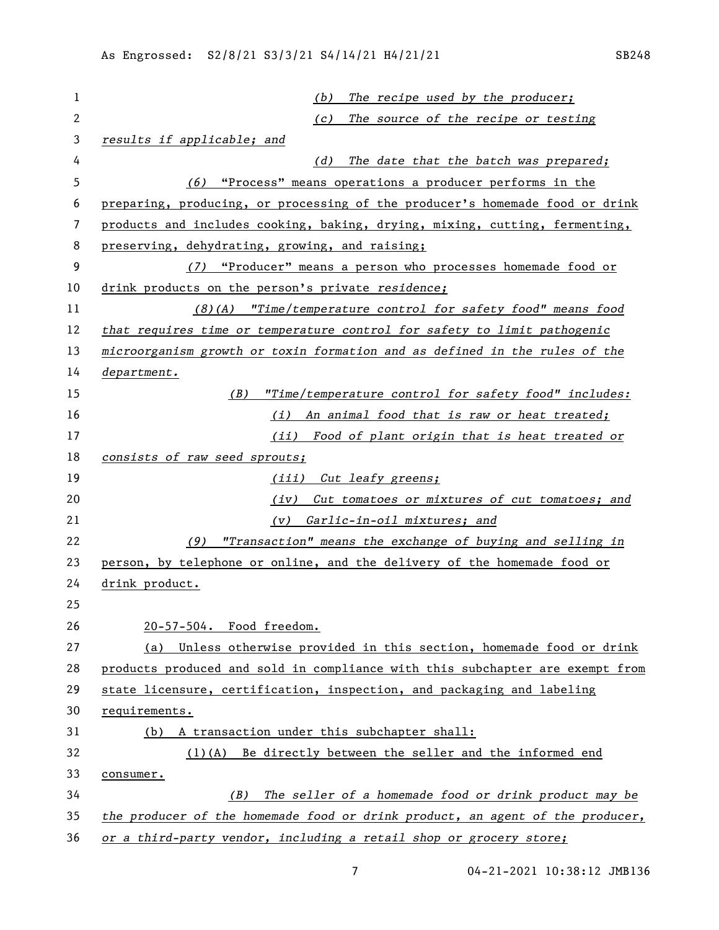| 1  | The recipe used by the producer;<br>(b)                                       |
|----|-------------------------------------------------------------------------------|
| 2  | The source of the recipe or testing<br>(c)                                    |
| 3  | results if applicable; and                                                    |
| 4  | The date that the batch was prepared;<br>(d)                                  |
| 5  | (6) "Process" means operations a producer performs in the                     |
| 6  | preparing, producing, or processing of the producer's homemade food or drink  |
| 7  | products and includes cooking, baking, drying, mixing, cutting, fermenting,   |
| 8  | preserving, dehydrating, growing, and raising;                                |
| 9  | "Producer" means a person who processes homemade food or<br>(7)               |
| 10 | drink products on the person's private residence;                             |
| 11 | (8)(A) "Time/temperature control for safety food" means food                  |
| 12 | that requires time or temperature control for safety to limit pathogenic      |
| 13 | microorganism growth or toxin formation and as defined in the rules of the    |
| 14 | department.                                                                   |
| 15 | (B)<br>"Time/temperature control for safety food" includes:                   |
| 16 | (i) An animal food that is raw or heat treated;                               |
| 17 | (ii) Food of plant origin that is heat treated or                             |
| 18 | consists of raw seed sprouts;                                                 |
| 19 | (iii) Cut leafy greens;                                                       |
| 20 | (iv) Cut tomatoes or mixtures of cut tomatoes; and                            |
| 21 | Garlic-in-oil mixtures; and<br>(v)                                            |
| 22 | (9) "Transaction" means the exchange of buying and selling in                 |
| 23 | person, by telephone or online, and the delivery of the homemade food or      |
| 24 | drink product.                                                                |
| 25 |                                                                               |
| 26 | 20-57-504. Food freedom.                                                      |
| 27 | Unless otherwise provided in this section, homemade food or drink<br>(a)      |
| 28 | products produced and sold in compliance with this subchapter are exempt from |
| 29 | state licensure, certification, inspection, and packaging and labeling        |
| 30 | requirements.                                                                 |
| 31 | A transaction under this subchapter shall:<br>(b)                             |
| 32 | $(1)(A)$ Be directly between the seller and the informed end                  |
| 33 | consumer.                                                                     |
| 34 | The seller of a homemade food or drink product may be<br>(B)                  |
| 35 | the producer of the homemade food or drink product, an agent of the producer, |
| 36 | or a third-party vendor, including a retail shop or grocery store;            |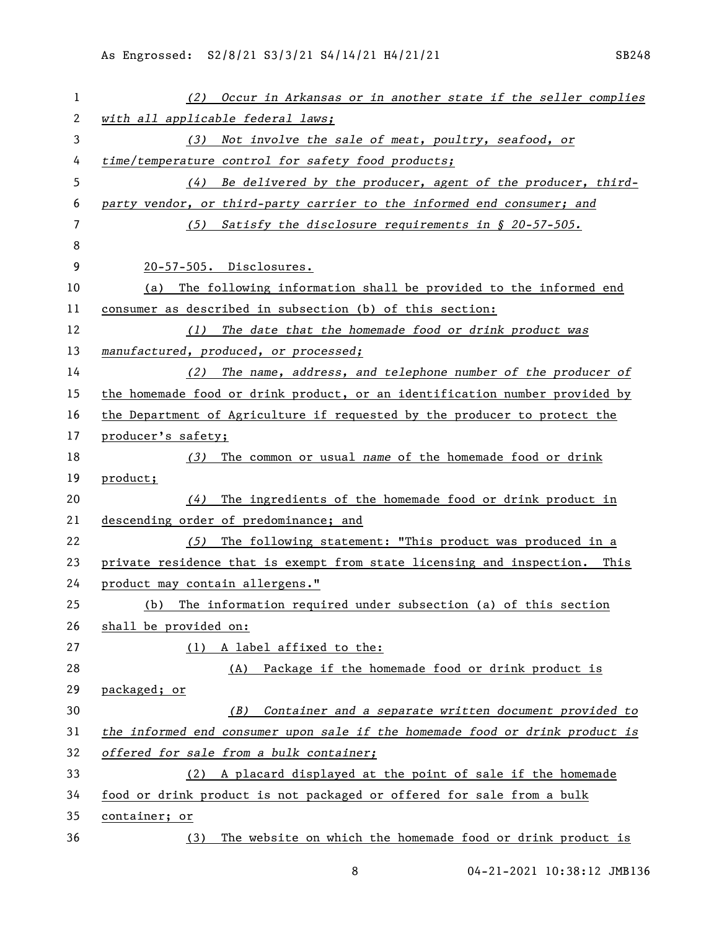| 1  | Occur in Arkansas or in another state if the seller complies<br>(2)          |
|----|------------------------------------------------------------------------------|
| 2  | with all applicable federal laws;                                            |
| 3  | Not involve the sale of meat, poultry, seafood, or<br>(3)                    |
| 4  | time/temperature control for safety food products;                           |
| 5  | Be delivered by the producer, agent of the producer, third-<br>(4)           |
| 6  | party vendor, or third-party carrier to the informed end consumer; and       |
| 7  | (5) Satisfy the disclosure requirements in $\S$ 20-57-505.                   |
| 8  |                                                                              |
| 9  | 20-57-505. Disclosures.                                                      |
| 10 | The following information shall be provided to the informed end<br>(a)       |
| 11 | consumer as described in subsection (b) of this section:                     |
| 12 | (1) The date that the homemade food or drink product was                     |
| 13 | manufactured, produced, or processed;                                        |
| 14 | $(2)$ The name, address, and telephone number of the producer of             |
| 15 | the homemade food or drink product, or an identification number provided by  |
| 16 | the Department of Agriculture if requested by the producer to protect the    |
| 17 | producer's safety;                                                           |
| 18 | The common or usual name of the homemade food or drink<br>(3)                |
| 19 | product;                                                                     |
| 20 | The ingredients of the homemade food or drink product in<br>(4)              |
| 21 | descending order of predominance; and                                        |
| 22 | The following statement: "This product was produced in a<br>(5)              |
| 23 | private residence that is exempt from state licensing and inspection. This   |
| 24 | product may contain allergens."                                              |
| 25 | The information required under subsection (a) of this section<br>(b)         |
| 26 | shall be provided on:                                                        |
| 27 | (1) A label affixed to the:                                                  |
| 28 | Package if the homemade food or drink product is<br>(A)                      |
| 29 | packaged; or                                                                 |
| 30 | Container and a separate written document provided to<br>(B)                 |
| 31 | the informed end consumer upon sale if the homemade food or drink product is |
| 32 | offered for sale from a bulk container;                                      |
| 33 | (2) A placard displayed at the point of sale if the homemade                 |
| 34 | food or drink product is not packaged or offered for sale from a bulk        |
| 35 | container; or                                                                |
| 36 | The website on which the homemade food or drink product is<br>(3)            |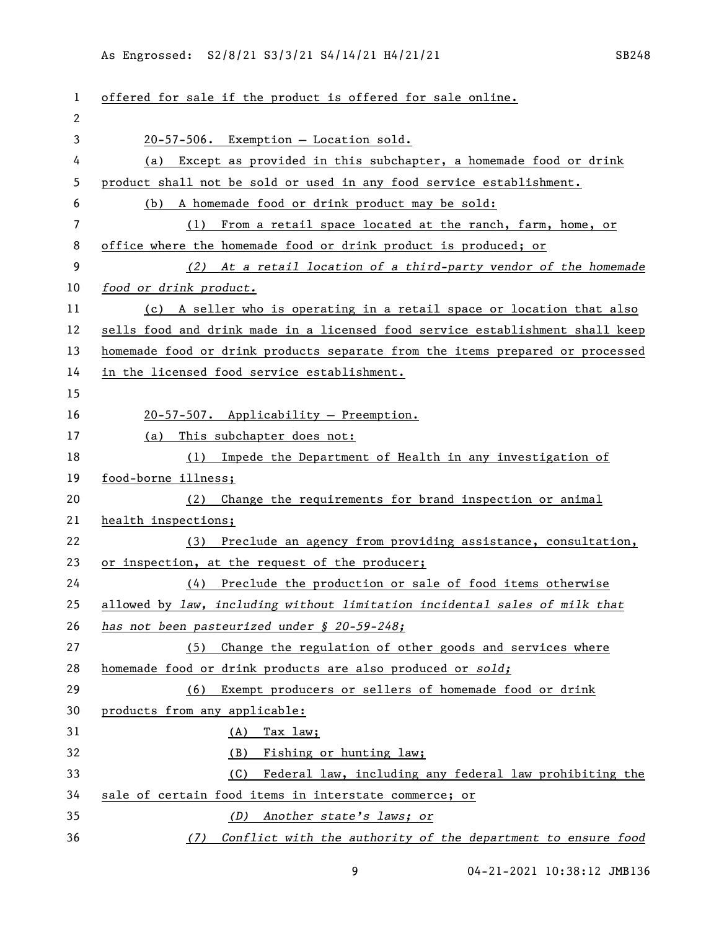| $\mathbf{1}$ | offered for sale if the product is offered for sale online.                   |
|--------------|-------------------------------------------------------------------------------|
| 2            |                                                                               |
| 3            | 20-57-506. Exemption - Location sold.                                         |
| 4            | Except as provided in this subchapter, a homemade food or drink<br>(a)        |
| 5            | product shall not be sold or used in any food service establishment.          |
| 6            | A homemade food or drink product may be sold:<br>(b)                          |
| 7            | From a retail space located at the ranch, farm, home, or<br>(1)               |
| 8            | office where the homemade food or drink product is produced; or               |
| 9            | (2) At a retail location of a third-party vendor of the homemade              |
| 10           | food or drink product.                                                        |
| 11           | (c) A seller who is operating in a retail space or location that also         |
| 12           | sells food and drink made in a licensed food service establishment shall keep |
| 13           | homemade food or drink products separate from the items prepared or processed |
| 14           | in the licensed food service establishment.                                   |
| 15           |                                                                               |
| 16           | 20-57-507. Applicability - Preemption.                                        |
| 17           | (a) This subchapter does not:                                                 |
| 18           | (1) Impede the Department of Health in any investigation of                   |
| 19           | food-borne illness;                                                           |
| 20           | Change the requirements for brand inspection or animal<br>(2)                 |
| 21           | health inspections;                                                           |
| 22           | (3) Preclude an agency from providing assistance, consultation,               |
| 23           | or inspection, at the request of the producer;                                |
| 24           | (4) Preclude the production or sale of food items otherwise                   |
| 25           | allowed by law, including without limitation incidental sales of milk that    |
| 26           | has not been pasteurized under $$20-59-248;$                                  |
| 27           | Change the regulation of other goods and services where<br>(5)                |
| 28           | homemade food or drink products are also produced or sold;                    |
| 29           | Exempt producers or sellers of homemade food or drink<br>(6)                  |
| 30           | products from any applicable:                                                 |
| 31           | Tax law;<br>(A)                                                               |
| 32           | (B) Fishing or hunting law;                                                   |
| 33           | Federal law, including any federal law prohibiting the<br>(C)                 |
| 34           | sale of certain food items in interstate commerce; or                         |
| 35           | Another state's laws; or<br>(D)                                               |
| 36           | Conflict with the authority of the department to ensure food<br>(7)           |